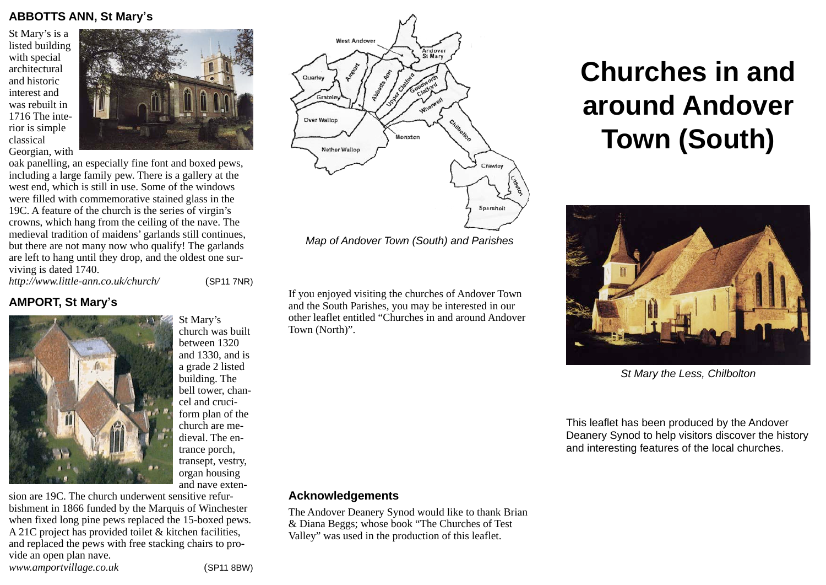## **ABBOTTS ANN, St Mary's**

St Mary's is a listed building with special architectural and historic interest and was rebuilt in 1716 The interior is simple classical Georgian, with



oak panelling, an especially fine font and boxed pews, including a large family pew. There is a gallery at the west end, which is still in use. Some of the windows were filled with commemorative stained glass in the 19C. A feature of the church is the series of virgin's crowns, which hang from the ceiling of the nave. The medieval tradition of maidens' garlands still continues, but there are not many now who qualify! The garlands are left to hang until they drop, and the oldest one surviving is dated 1740.

*<http://www.little-ann.co.uk/church/>* (SP11 7NR)

# **AMPORT, St Mary's**



St Mary's church was built between 1320 and 1330, and is a grade 2 listed building. The bell tower, chancel and cruciform plan of the church are medieval. The entrance porch, transept, vestry, organ housing and nave exten-

sion are 19C. The church underwent sensitive refurbishment in 1866 funded by the Marquis of Winchester when fixed long pine pews replaced the 15-boxed pews. A 21C project has provided toilet & kitchen facilities, and replaced the pews with free stacking chairs to provide an open plan nave. *[www.amportvillage.co.uk](http://www.amportvillage.co.uk)* (SP11 8BW)



*Map of Andover Town (South) and Parishes*

If you enjoyed visiting the churches of Andover Town and the South Parishes, you may be interested in our other leaflet entitled "Churches in and around Andover Town (North)".

#### **Acknowledgements**

The Andover Deanery Synod would like to thank Brian & Diana Beggs; whose book "The Churches of Test Valley" was used in the production of this leaflet.

# **Churches in and around Andover Town (South)**



*St Mary the Less, Chilbolton*

This leaflet has been produced by the Andover Deanery Synod to help visitors discover the history and interesting features of the local churches.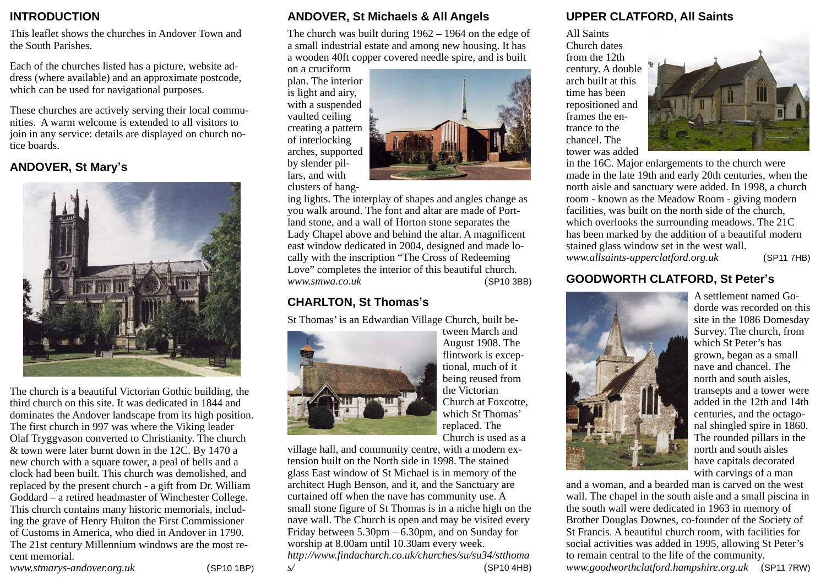# **INTRODUCTION**

This leaflet shows the churches in Andover Town and the South Parishes.

Each of the churches listed has a picture, website address (where available) and an approximate postcode, which can be used for navigational purposes.

These churches are actively serving their local communities. A warm welcome is extended to all visitors to join in any service: details are displayed on church notice boards.

# **ANDOVER, St Mary's**



The church is a beautiful Victorian Gothic building, the third church on this site. It was dedicated in 1844 and dominates the Andover landscape from its high position. The first church in 997 was where the Viking leader Olaf Tryggvason converted to Christianity. The church & town were later burnt down in the 12C. By 1470 a new church with a square tower, a peal of bells and a clock had been built. This church was demolished, and replaced by the present church - a gift from Dr. William Goddard – a retired headmaster of Winchester College. This church contains many historic memorials, including the grave of Henry Hulton the First Commissioner of Customs in America, who died in Andover in 1790. The 21st century Millennium windows are the most recent memorial.

*[www.stmarys-andover.org.uk](http://www.stmarys-andover.org.uk)* (SP10 1BP)

## **ANDOVER, St Michaels & All Angels**

The church was built during 1962 – 1964 on the edge of a small industrial estate and among new housing. It has a wooden 40ft copper covered needle spire, and is built

on a cruciform plan. The interior is light and airy, with a suspended vaulted ceiling creating a pattern of interlocking arches, supported by slender pillars, and with clusters of hang-



ing lights. The interplay of shapes and angles change as you walk around. The font and altar are made of Portland stone, and a wall of Horton stone separates the Lady Chapel above and behind the altar. A magnificent east window dedicated in 2004, designed and made locally with the inscription "The Cross of Redeeming Love" completes the interior of this beautiful church. *[www.smwa.co.uk](http://www.smwa.co.uk)* (SP10 3BB)

# **CHARLTON, St Thomas's**

St Thomas' is an Edwardian Village Church, built be-



tween March and August 1908. The flintwork is exceptional, much of it being reused from the Victorian Church at Foxcotte, which St Thomas' replaced. The Church is used as a

village hall, and community centre, with a modern extension built on the North side in 1998. The stained glass East window of St Michael is in memory of the architect Hugh Benson, and it, and the Sanctuary are curtained off when the nave has community use. A small stone figure of St Thomas is in a niche high on the nave wall. The Church is open and may be visited every Friday between 5.30pm – 6.30pm, and on Sunday for worship at 8.00am until 10.30am every week. *[http://www.findachurch.co.uk/churches/su/su34/stthoma](http://www.findachurch.co.uk/churches/su/su34/stthomas/) [s/](http://www.findachurch.co.uk/churches/su/su34/stthomas/)* (SP10 4HB)

# **UPPER CLATFORD, All Saints**

All Saints Church dates from the 12th century. A double arch built at this time has been repositioned and frames the entrance to the chancel. The tower was added



in the 16C. Major enlargements to the church were made in the late 19th and early 20th centuries, when the north aisle and sanctuary were added. In 1998, a church room - known as the Meadow Room - giving modern facilities, was built on the north side of the church, which overlooks the surrounding meadows. The 21C has been marked by the addition of a beautiful modern stained glass window set in the west wall. *[www.allsaints-upperclatford.org.uk](http://www.allsaints-upperclatford.org.uk)* (SP11 7HB)

# **GOODWORTH CLATFORD, St Peter's**

A settlement named Godorde was recorded on this site in the 1086 Domesday Survey. The church, from which St Peter's has grown, began as a small nave and chancel. The north and south aisles, transepts and a tower were added in the 12th and 14th centuries, and the octagonal shingled spire in 1860. The rounded pillars in the north and south aisles have capitals decorated with carvings of a man

and a woman, and a bearded man is carved on the west wall. The chapel in the south aisle and a small piscina in the south wall were dedicated in 1963 in memory of Brother Douglas Downes, co-founder of the Society of St Francis. A beautiful church room, with facilities for social activities was added in 1995, allowing St Peter's to remain central to the life of the community. *[www.goodworthclatford.hampshire.org.uk](http://www.goodworthclatford.hampshire.org.uk)* (SP11 7RW)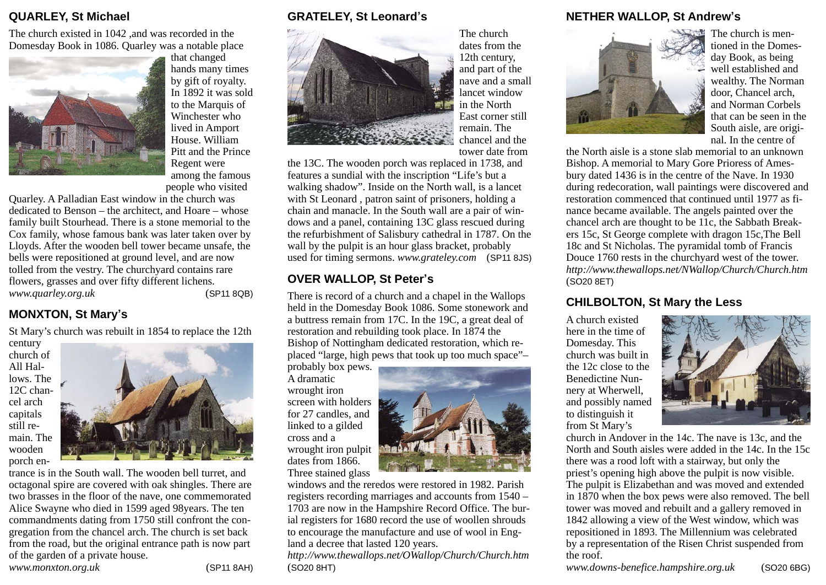#### **QUARLEY, St Michael**

The church existed in 1042 ,and was recorded in the Domesday Book in 1086. Quarley was a notable place



that changed hands many times by gift of royalty. In 1892 it was sold to the Marquis of Winchester who lived in Amport House. William Pitt and the Prince Regent were among the famous people who visited

Quarley. A Palladian East window in the church was dedicated to Benson – the architect, and Hoare – whose family built Stourhead. There is a stone memorial to the Cox family, whose famous bank was later taken over by Lloyds. After the wooden bell tower became unsafe, the bells were repositioned at ground level, and are now tolled from the vestry. The churchyard contains rare flowers, grasses and over fifty different lichens. *[www.quarley.org.uk](http://www.quarley.org.uk)* (SP11 8QB)

# **MONXTON, St Mary's**

St Mary's church was rebuilt in 1854 to replace the 12th

century church of All Hallows. The 12C chancel arch capitals still remain. The wooden porch en-



trance is in the South wall. The wooden bell turret, and octagonal spire are covered with oak shingles. There are two brasses in the floor of the nave, one commemorated Alice Swayne who died in 1599 aged 98years. The ten commandments dating from 1750 still confront the congregation from the chancel arch. The church is set back from the road, but the original entrance path is now part of the garden of a private house.

*[www.monxton.org.uk](http://www.monxton.org.uk)* (SP11 8AH)

A dramatic wrought iron

for 27 candles, and linked to a gilded cross and a wrought iron pulpit dates from 1866. Three stained glass

windows and the reredos were restored in 1982. Parish registers recording marriages and accounts from 1540 – 1703 are now in the Hampshire Record Office. The burial registers for 1680 record the use of woollen shrouds to encourage the manufacture and use of wool in England a decree that lasted 120 years.

*[http://www.thewallops.net/OWallop/Church/Church.htm](http://www.thewallops.net/owallop/church.html)* (SO20 8HT)

#### **NETHER WALLOP, St Andrew's**



**GRATELEY, St Leonard's**

The church dates from the 12th century, and part of the nave and a small lancet window in the North East corner still remain. The chancel and the tower date from

the 13C. The wooden porch was replaced in 1738, and features a sundial with the inscription "Life's but a walking shadow". Inside on the North wall, is a lancet with St Leonard , patron saint of prisoners, holding a chain and manacle. In the South wall are a pair of windows and a panel, containing 13C glass rescued during the refurbishment of Salisbury cathedral in 1787. On the wall by the pulpit is an hour glass bracket, probably used for timing sermons. *[www.grateley.com](http://www.grateley.com)* (SP11 8JS)

# **OVER WALLOP, St Peter's**

There is record of a church and a chapel in the Wallops held in the Domesday Book 1086. Some stonework and a buttress remain from 17C. In the 19C, a great deal of restoration and rebuilding took place. In 1874 the Bishop of Nottingham dedicated restoration, which replaced "large, high pews that took up too much space"–

probably box pews. screen with holders



The church is mentioned in the Domesday Book, as being well established and wealthy. The Norman door, Chancel arch, and Norman Corbels that can be seen in the South aisle, are original. In the centre of

the North aisle is a stone slab memorial to an unknown Bishop. A memorial to Mary Gore Prioress of Amesbury dated 1436 is in the centre of the Nave. In 1930 during redecoration, wall paintings were discovered and restoration commenced that continued until 1977 as finance became available. The angels painted over the chancel arch are thought to be 11c, the Sabbath Breakers 15c, St George complete with dragon 15c,The Bell 18c and St Nicholas. The pyramidal tomb of Francis Douce 1760 rests in the churchyard west of the tower. *<http://www.thewallops.net/NWallop/Church/Church.htm>* (SO20 8ET)

# **CHILBOLTON, St Mary the Less**

A church existed here in the time of Domesday. This church was built in the 12c close to the Benedictine Nunnery at Wherwell, and possibly named to distinguish it from St Mary's



church in Andover in the 14c. The nave is 13c, and the North and South aisles were added in the 14c. In the 15c there was a rood loft with a stairway, but only the priest's opening high above the pulpit is now visible. The pulpit is Elizabethan and was moved and extended in 1870 when the box pews were also removed. The bell tower was moved and rebuilt and a gallery removed in 1842 allowing a view of the West window, which was repositioned in 1893. The Millennium was celebrated by a representation of the Risen Christ suspended from the roof.

*[www.downs-benefice.hampshire.org.uk](http://www.downs-benefice.hampshire.org.uk)* (SO20 6BG)

**Maggair**